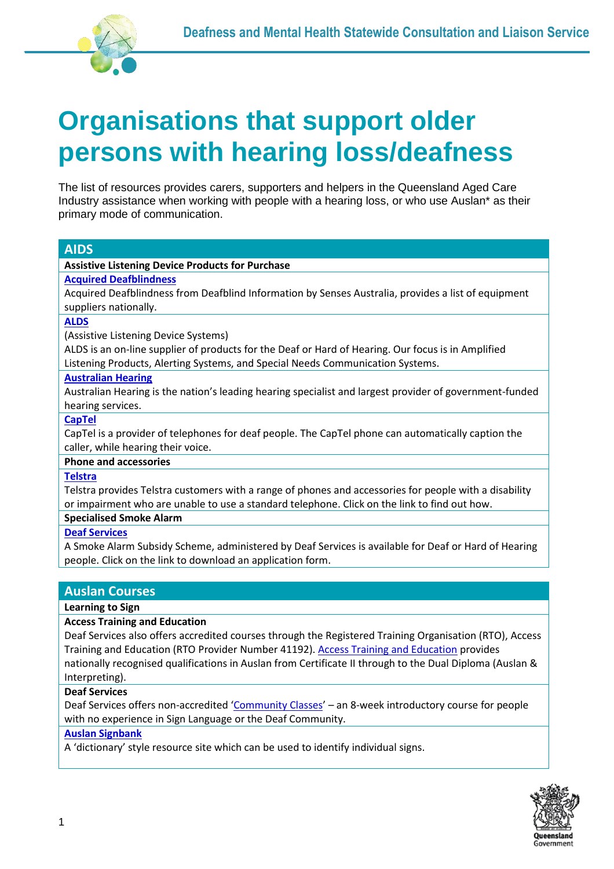

# **Organisations that support older persons with hearing loss/deafness**

The list of resources provides carers, supporters and helpers in the Queensland Aged Care Industry assistance when working with people with a hearing loss, or who use Auslan\* as their primary mode of communication.

| <b>AIDS</b>                                                                                                                                                                                            |
|--------------------------------------------------------------------------------------------------------------------------------------------------------------------------------------------------------|
| <b>Assistive Listening Device Products for Purchase</b>                                                                                                                                                |
| <b>Acquired Deafblindness</b>                                                                                                                                                                          |
| Acquired Deafblindness from Deafblind Information by Senses Australia, provides a list of equipment<br>suppliers nationally.                                                                           |
| <b>ALDS</b>                                                                                                                                                                                            |
| (Assistive Listening Device Systems)                                                                                                                                                                   |
| ALDS is an on-line supplier of products for the Deaf or Hard of Hearing. Our focus is in Amplified<br>Listening Products, Alerting Systems, and Special Needs Communication Systems.                   |
| <b>Australian Hearing</b>                                                                                                                                                                              |
| Australian Hearing is the nation's leading hearing specialist and largest provider of government-funded<br>hearing services.                                                                           |
| <b>CapTel</b>                                                                                                                                                                                          |
| CapTel is a provider of telephones for deaf people. The CapTel phone can automatically caption the<br>caller, while hearing their voice.                                                               |
| <b>Phone and accessories</b>                                                                                                                                                                           |
| <b>Telstra</b>                                                                                                                                                                                         |
| Telstra provides Telstra customers with a range of phones and accessories for people with a disability<br>or impairment who are unable to use a standard telephone. Click on the link to find out how. |
| <b>Specialised Smoke Alarm</b>                                                                                                                                                                         |
| <b>Deaf Services</b>                                                                                                                                                                                   |
| A Smoke Alarm Subsidy Scheme, administered by Deaf Services is available for Deaf or Hard of Hearing<br>people. Click on the link to download an application form.                                     |
|                                                                                                                                                                                                        |
| <b>Auslan Courses</b>                                                                                                                                                                                  |
| Laavaing ta Cigu                                                                                                                                                                                       |

# **Learning to Sign**

## **Access Training and Education**

Deaf Services also offers accredited courses through the Registered Training Organisation (RTO), Access Training and Education (RTO Provider Number 41192). [Access Training and Education](https://www.deafservices.org.au/services/Education/accesstraining) provides nationally recognised qualifications in Auslan from Certificate II through to the Dual Diploma (Auslan & Interpreting).

## **Deaf Services**

Deaf Services offers non-accredited '[Community Classes](https://www.deafservices.org.au/services/Education/Community-Classes)' – an 8-week introductory course for people with no experience in Sign Language or the Deaf Community.

## **[Auslan Signbank](http://www.auslan.org.au/dictionary/search/?query=A&category=)**

A 'dictionary' style resource site which can be used to identify individual signs.

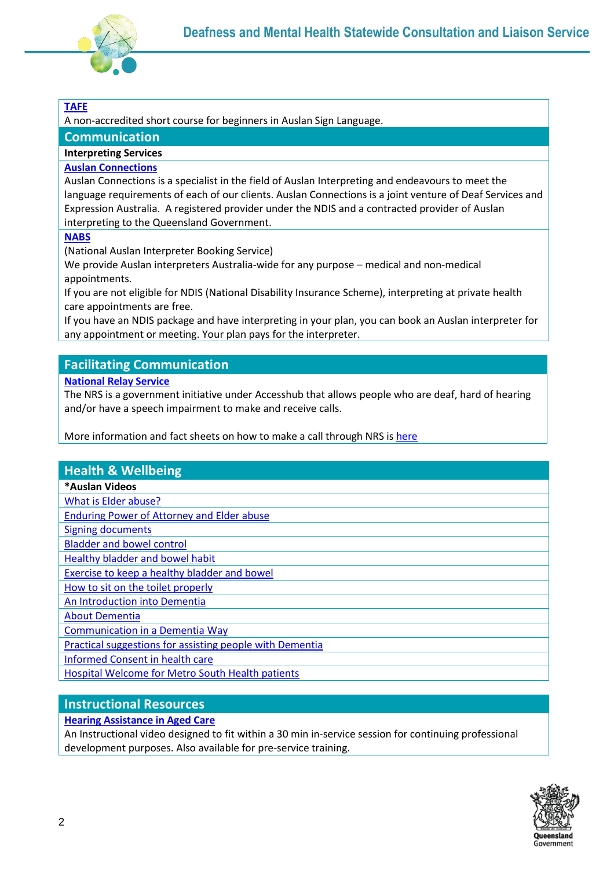

# **[TAFE](https://tafeqld.edu.au/oneweb/courses/18343/auslan-sign-language-beginners)**

A non-accredited short course for beginners in Auslan Sign Language.

## **Communication**

## **Interpreting Services**

## **[Auslan Connections](http://auslanconnections.com.au/)**

Auslan Connections is a specialist in the field of Auslan Interpreting and endeavours to meet the language requirements of each of our clients. Auslan Connections is a joint venture of Deaf Services and Expression Australia. A registered provider under the NDIS and a contracted provider of Auslan interpreting to the Queensland Government.

**[NABS](https://www.nabs.org.au/contact-us.html)**

(National Auslan Interpreter Booking Service)

We provide Auslan interpreters Australia-wide for any purpose – medical and non-medical appointments.

If you are not eligible for NDIS (National Disability Insurance Scheme), interpreting at private health care appointments are free.

If you have an NDIS package and have interpreting in your plan, you can book an Auslan interpreter for any appointment or meeting. Your plan pays for the interpreter.

# **Facilitating Communication**

## **[National Relay Service](https://www.communications.gov.au/what-we-do/phone/services-people-disability/accesshub/national-relay-service)**

The NRS is a government initiative under Accesshub that allows people who are deaf, hard of hearing and/or have a speech impairment to make and receive calls.

More information and fact sheets on how to make a call through NRS i[s here](https://www.communications.gov.au/what-we-do/phone/services-people-disability/accesshub/national-relay-service)

## **Health & Wellbeing**

#### **\*Auslan Videos**

[What is Elder abuse?](https://www.youtube.com/watch?v=tHoo6bFsWgk)

[Enduring Power of Attorney and Elder abuse](https://www.youtube.com/watch?v=aB7fcvneFMA&list=PLCrmh-Ghrg_Guc6ylFpYzpiZD0eSj6Au1)

[Signing documents](https://www.youtube.com/watch?v=bpLtYqp1zNQ)

[Bladder and bowel control](https://www.youtube.com/watch?v=8mM6ZKKws8o&list=PLCrmh-Ghrg_GmYtznXpi9ykIKgCnmuEfR)

[Healthy bladder and bowel habit](https://www.youtube.com/watch?v=a0V5SOzz9ok&list=PLCrmh-Ghrg_GmYtznXpi9ykIKgCnmuEfR&index=2)

[Exercise to keep a healthy bladder and bowel](https://www.youtube.com/watch?v=gp6Z7JUesHo&feature=youtu.be)

[How to sit on the toilet properly](https://www.youtube.com/watch?v=jUBCb5hYz5k&list=PLCrmh-Ghrg_GmYtznXpi9ykIKgCnmuEfR&index=4)

[An Introduction into Dementia](https://www.youtube.com/watch?v=CkKKvfE7x0Y)

[About Dementia](https://www.youtube.com/watch?v=YpyW1gupZGM)

[Communication in a Dementia Way](https://www.youtube.com/watch?v=bB3OSlCwvIM)

[Practical suggestions for assisting people with Dementia](https://www.youtube.com/watch?v=pZrYLqGBS_g)

[Informed Consent in health care](https://www.youtube.com/watch?v=dVm24PBKR2s)

[Hospital Welcome for Metro South Health patients](https://vimeo.com/226217247)

# **Instructional Resources**

## **[Hearing Assistance in Aged Care](https://support.microsoft.com/en-us/office/this-website-doesn-t-work-in-internet-explorer-8f5fc675-cd47-414c-9535-12821ddfc554?ui=en-us&rs=en-us&ad=us)**

An Instructional video designed to fit within a 30 min in-service session for continuing professional development purposes. Also available for pre-service training.

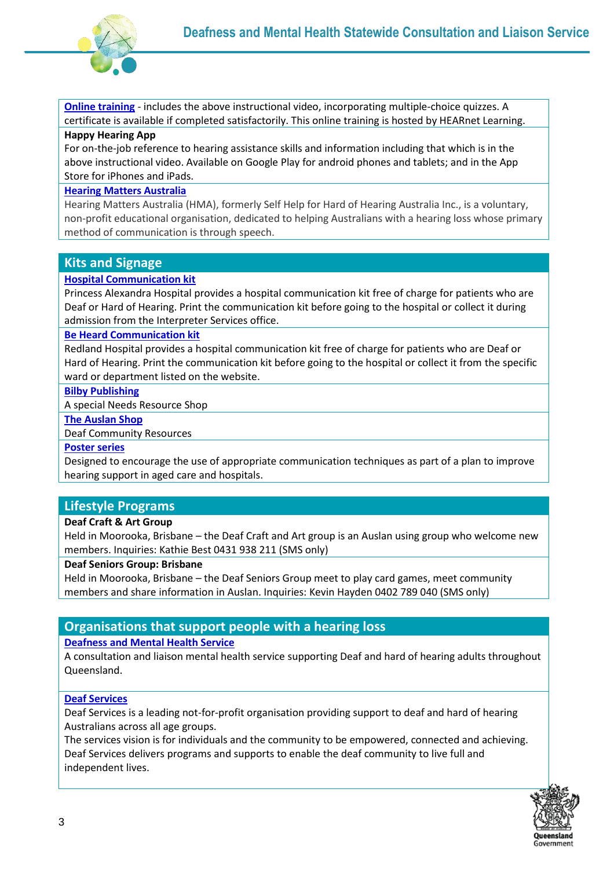

**[Online training](https://hearnetlearning.org.au/login/index.php)** - includes the above instructional video, incorporating multiple-choice quizzes. A certificate is available if completed satisfactorily. This online training is hosted by HEARnet Learning.

#### **Happy Hearing App**

For on-the-job reference to hearing assistance skills and information including that which is in the above instructional video. Available on Google Play for android phones and tablets; and in the App Store for iPhones and iPads.

#### **[Hearing Matters Australia](https://www.google.com.au/?gws_rd=ssl#spf=1634519329673)**

Hearing Matters Australia (HMA), formerly Self Help for Hard of Hearing Australia Inc., is a voluntary, non-profit educational organisation, dedicated to helping Australians with a hearing loss whose primary method of communication is through speech.

## **Kits and Signage**

## **[Hospital Communication kit](https://metrosouth.health.qld.gov.au/princess-alexandra-hospital/about-us/hospital-communication-kit)**

Princess Alexandra Hospital provides a hospital communication kit free of charge for patients who are Deaf or Hard of Hearing. Print the communication kit before going to the hospital or collect it during admission from the Interpreter Services office.

## **[Be Heard Communication kit](https://metrosouth.health.qld.gov.au/redland-hospital/about-us/hospital-communication-kit)**

Redland Hospital provides a hospital communication kit free of charge for patients who are Deaf or Hard of Hearing. Print the communication kit before going to the hospital or collect it from the specific ward or department listed on the website.

#### **[Bilby Publishing](http://bilby.net/)**

A special Needs Resource Shop

#### **[The Auslan Shop](https://auslanshop.deafaustralia.org.au/contact-us/)**

Deaf Community Resources

#### **[Poster series](https://www.deafnessforum.org.au/wp-content/uploads/documents/training_resources/hearing_awareness_posters.pdf)**

Designed to encourage the use of appropriate communication techniques as part of a plan to improve hearing support in aged care and hospitals.

## **Lifestyle Programs**

#### **Deaf Craft & Art Group**

Held in Moorooka, Brisbane – the Deaf Craft and Art group is an Auslan using group who welcome new members. Inquiries: Kathie Best 0431 938 211 (SMS only)

#### **Deaf Seniors Group: Brisbane**

Held in Moorooka, Brisbane – the Deaf Seniors Group meet to play card games, meet community members and share information in Auslan. Inquiries: Kevin Hayden 0402 789 040 (SMS only)

# **Organisations that support people with a hearing loss**

#### **[Deafness and Mental Health Service](https://www.health.qld.gov.au/clinical-practice/referrals/statewide-specialist-services/deafness-and-mental-health)**

A consultation and liaison mental health service supporting Deaf and hard of hearing adults throughout Queensland.

#### **[Deaf Services](https://www.deafservices.org.au/)**

Deaf Services is a leading not-for-profit organisation providing support to deaf and hard of hearing Australians across all age groups.

The services vision is for individuals and the community to be empowered, connected and achieving. Deaf Services delivers programs and supports to enable the deaf community to live full and independent lives.